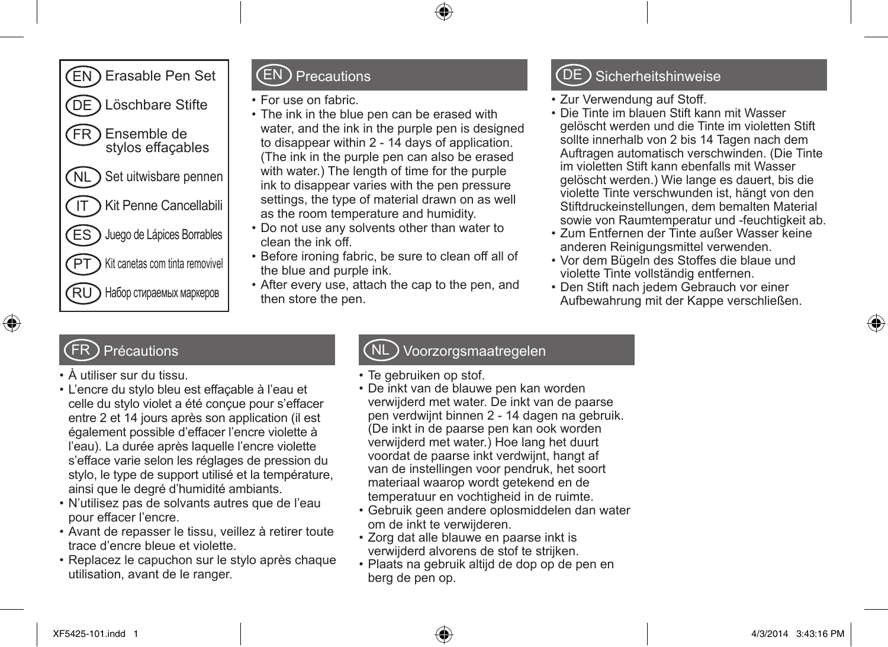

#### EN Precautions

- • For use on fabric.
- The ink in the blue pen can be erased with water, and the ink in the purple pen is designed to disappear within 2 - 14 days of application. (The ink in the purple pen can also be erased with water.) The length of time for the purple ink to disappear varies with the pen pressure settings, the type of material drawn on as well as the room temperature and humidity.
- • Do not use any solvents other than water to clean the ink off.
- Before ironing fabric, be sure to clean off all of the blue and purple ink.
- After every use, attach the cap to the pen, and then store the pen.

# **Sicherheitshinweise**

- • Zur Verwendung auf Stoff.
- • Die Tinte im blauen Stift kann mit Wasser gelöscht werden und die Tinte im violetten Stift sollte innerhalb von 2 bis 14 Tagen nach dem Auftragen automatisch verschwinden. (Die Tinte im violetten Stift kann ebenfalls mit Wasser gelöscht werden.) Wie lange es dauert, bis die violette Tinte verschwunden ist, hängt von den Stiftdruckeinstellungen, dem bemalten Material sowie von Raumtemperatur und -feuchtigkeit ab.
- • Zum Entfernen der Tinte außer Wasser keine anderen Reinigungsmittel verwenden.
- • Vor dem Bügeln des Stoffes die blaue und violette Tinte vollständig entfernen.
- Den Stift nach jedem Gebrauch vor einer Aufbewahrung mit der Kappe verschließen.

# Précautions

- • À utiliser sur du tissu.
- • L'encre du stylo bleu est effaçable à l'eau et celle du stylo violet a été conçue pour s'effacer entre 2 et 14 jours après son application (il est également possible d'effacer l'encre violette à l'eau). La durée après laquelle l'encre violette s'efface varie selon les réglages de pression du stylo, le type de support utilisé et la température, ainsi que le degré d'humidité ambiants.
- • N'utilisez pas de solvants autres que de l'eau pour effacer l'encre.
- Avant de repasser le tissu, veillez à retirer toute trace d'encre bleue et violette.
- • Replacez le capuchon sur le stylo après chaque utilisation, avant de le ranger.

### Voorzorgsmaatregelen

- Te gebruiken op stof.
- • De inkt van de blauwe pen kan worden verwijderd met water. De inkt van de paarse pen verdwijnt binnen 2 - 14 dagen na gebruik. (De inkt in de paarse pen kan ook worden verwijderd met water.) Hoe lang het duurt voordat de paarse inkt verdwijnt, hangt af van de instellingen voor pendruk, het soort materiaal waarop wordt getekend en de temperatuur en vochtigheid in de ruimte.
- • Gebruik geen andere oplosmiddelen dan water om de inkt te verwijderen.
- Zorg dat alle blauwe en paarse inkt is verwijderd alvorens de stof te strijken.
- • Plaats na gebruik altijd de dop op de pen en berg de pen op.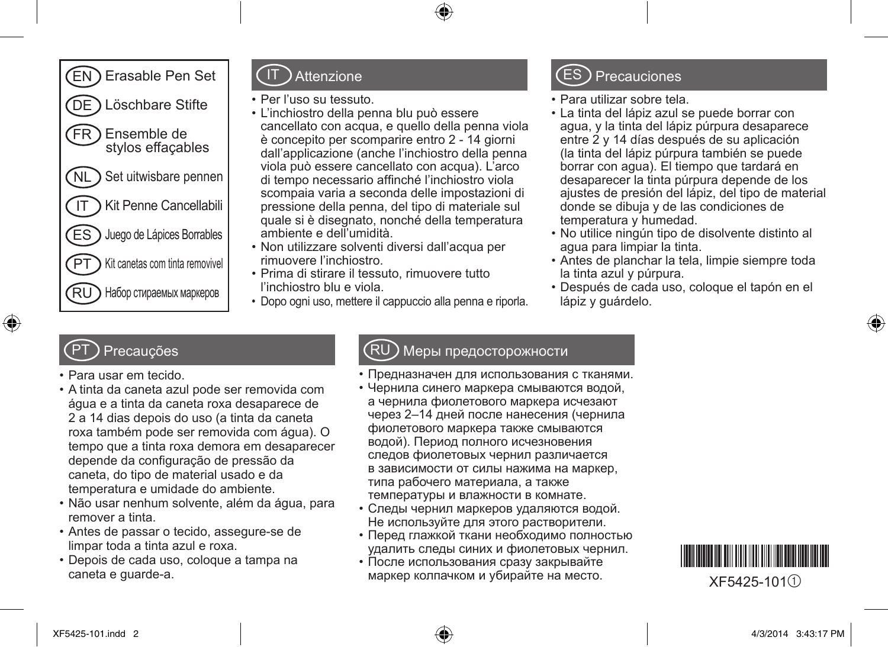

#### Attenzione

- • Per l'uso su tessuto.
- • L'inchiostro della penna blu può essere cancellato con acqua, e quello della penna viola è concepito per scomparire entro 2 - 14 giorni dall'applicazione (anche l'inchiostro della penna viola può essere cancellato con acqua). L'arco di tempo necessario affinché l'inchiostro viola scompaia varia a seconda delle impostazioni di pressione della penna, del tipo di materiale sul quale si è disegnato, nonché della temperatura ambiente e dell'umidità.
- • Non utilizzare solventi diversi dall'acqua per rimuovere l'inchiostro.
- • Prima di stirare il tessuto, rimuovere tutto l'inchiostro blu e viola.
- • Dopo ogni uso, mettere il cappuccio alla penna e riporla.

# ES Precauciones

- • Para utilizar sobre tela.
- • La tinta del lápiz azul se puede borrar con agua, y la tinta del lápiz púrpura desaparece entre 2 y 14 días después de su aplicación (la tinta del lápiz púrpura también se puede borrar con agua). El tiempo que tardará en desaparecer la tinta púrpura depende de los ajustes de presión del lápiz, del tipo de material donde se dibuja y de las condiciones de temperatura y humedad.
- • No utilice ningún tipo de disolvente distinto al agua para limpiar la tinta.
- • Antes de planchar la tela, limpie siempre toda la tinta azul y púrpura.
- • Después de cada uso, coloque el tapón en el lápiz y guárdelo.

### **Precauções**

- • Para usar em tecido.
- • A tinta da caneta azul pode ser removida com água e a tinta da caneta roxa desaparece de 2 a 14 dias depois do uso (a tinta da caneta roxa também pode ser removida com água). O tempo que a tinta roxa demora em desaparecer depende da configuração de pressão da caneta, do tipo de material usado e da temperatura e umidade do ambiente.
- • Não usar nenhum solvente, além da água, para remover a tinta.
- • Antes de passar o tecido, assegure-se de limpar toda a tinta azul e roxa.
- • Depois de cada uso, coloque a tampa na caneta e guarde-a.

#### Меры предосторожности

- Предназначен для использования с тканями.
- Чернила синего маркера смываются водой, а чернила фиолетового маркера исчезают через 2–14 дней после нанесения (чернила фиолетового маркера также смываются водой). Период полного исчезновения следов фиолетовых чернил различается в зависимости от силы нажима на маркер, типа рабочего материала, а также температуры и влажности в комнате.
- Следы чернил маркеров удаляются водой. Не используйте для этого растворители.
- • Перед глажкой ткани необходимо полностью удалить следы синих и фиолетовых чернил.
- • После использования сразу закрывайте маркер колпачком и убирайте на место.<br> $XF5425-101(1)$